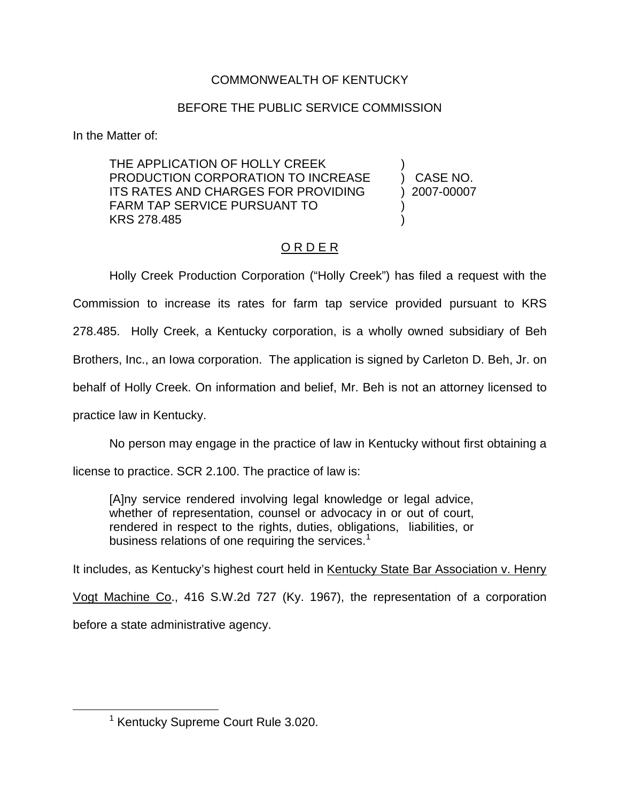## COMMONWEALTH OF KENTUCKY

## BEFORE THE PUBLIC SERVICE COMMISSION

In the Matter of:

THE APPLICATION OF HOLLY CREEK ) PRODUCTION CORPORATION TO INCREASE ) CASE NO. ITS RATES AND CHARGES FOR PROVIDING ) 2007-00007 FARM TAP SERVICE PURSUANT TO ) KRS 278.485 )

## O R D E R

Holly Creek Production Corporation ("Holly Creek") has filed a request with the Commission to increase its rates for farm tap service provided pursuant to KRS 278.485. Holly Creek, a Kentucky corporation, is a wholly owned subsidiary of Beh Brothers, Inc., an Iowa corporation. The application is signed by Carleton D. Beh, Jr. on behalf of Holly Creek. On information and belief, Mr. Beh is not an attorney licensed to practice law in Kentucky.

No person may engage in the practice of law in Kentucky without first obtaining a

license to practice. SCR 2.100. The practice of law is:

[A]ny service rendered involving legal knowledge or legal advice, whether of representation, counsel or advocacy in or out of court, rendered in respect to the rights, duties, obligations, liabilities, or business relations of one requiring the services. $<sup>1</sup>$ </sup>

It includes, as Kentucky's highest court held in Kentucky State Bar Association v. Henry

Vogt Machine Co., 416 S.W.2d 727 (Ky. 1967), the representation of a corporation before a state administrative agency.

<sup>&</sup>lt;sup>1</sup> Kentucky Supreme Court Rule 3.020.